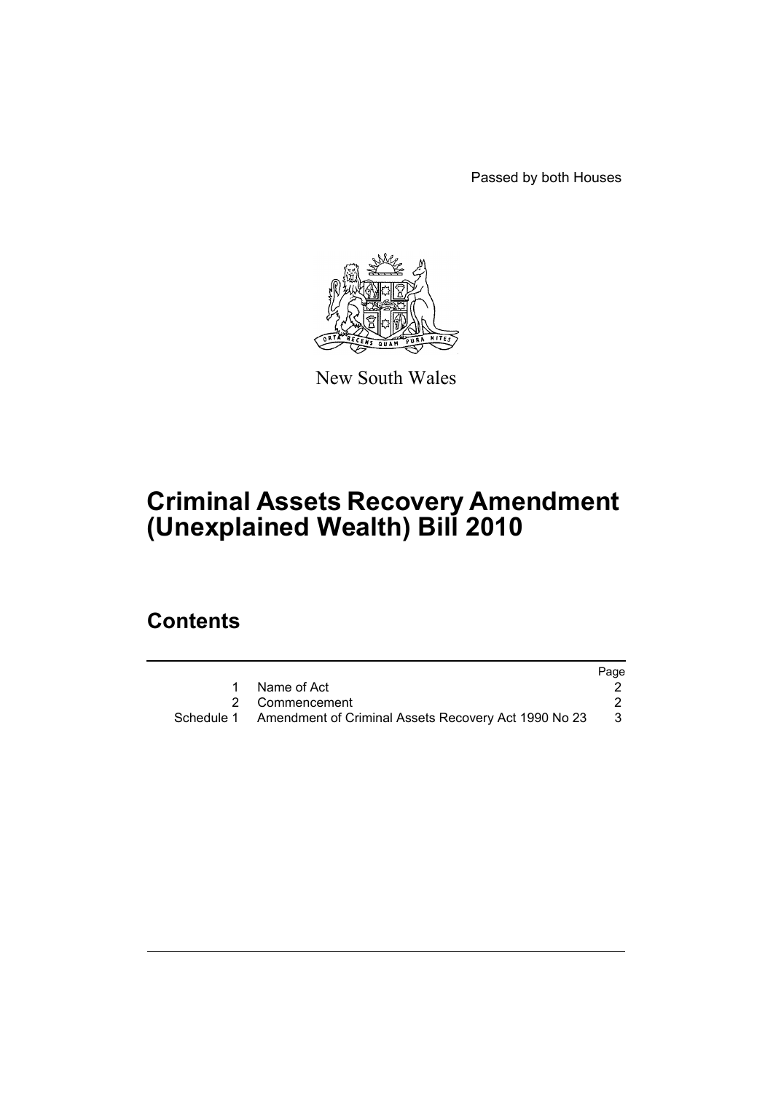Passed by both Houses



New South Wales

# **Criminal Assets Recovery Amendment (Unexplained Wealth) Bill 2010**

# **Contents**

|                                                                 | Page |
|-----------------------------------------------------------------|------|
| Name of Act                                                     |      |
| 2 Commencement                                                  |      |
| Schedule 1 Amendment of Criminal Assets Recovery Act 1990 No 23 | - 3  |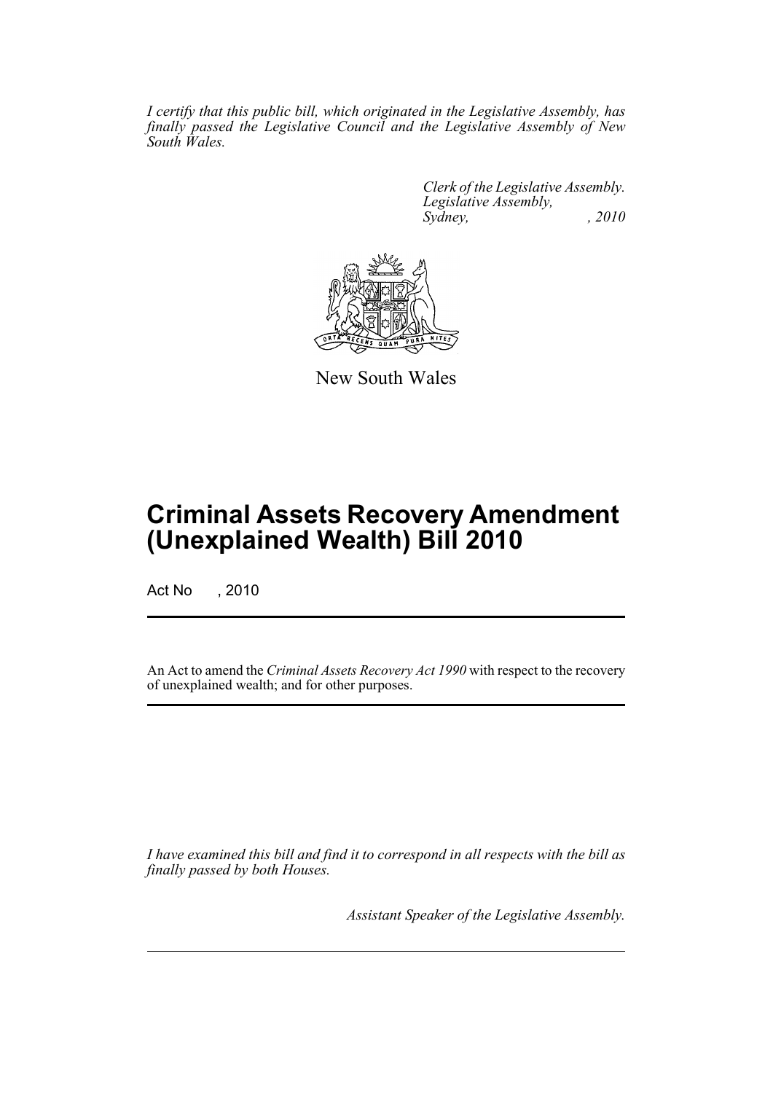*I certify that this public bill, which originated in the Legislative Assembly, has finally passed the Legislative Council and the Legislative Assembly of New South Wales.*

> *Clerk of the Legislative Assembly. Legislative Assembly, Sydney, , 2010*



New South Wales

# **Criminal Assets Recovery Amendment (Unexplained Wealth) Bill 2010**

Act No , 2010

An Act to amend the *Criminal Assets Recovery Act 1990* with respect to the recovery of unexplained wealth; and for other purposes.

*I have examined this bill and find it to correspond in all respects with the bill as finally passed by both Houses.*

*Assistant Speaker of the Legislative Assembly.*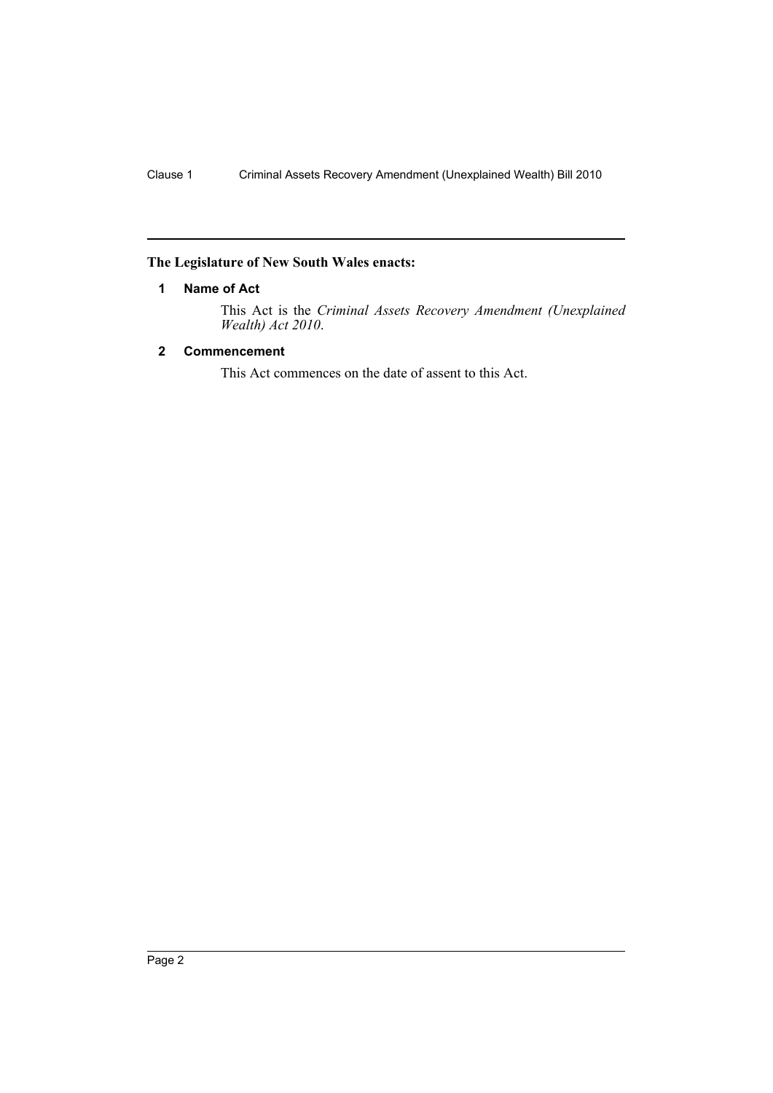# <span id="page-3-0"></span>**The Legislature of New South Wales enacts:**

#### **1 Name of Act**

This Act is the *Criminal Assets Recovery Amendment (Unexplained Wealth) Act 2010*.

## <span id="page-3-1"></span>**2 Commencement**

This Act commences on the date of assent to this Act.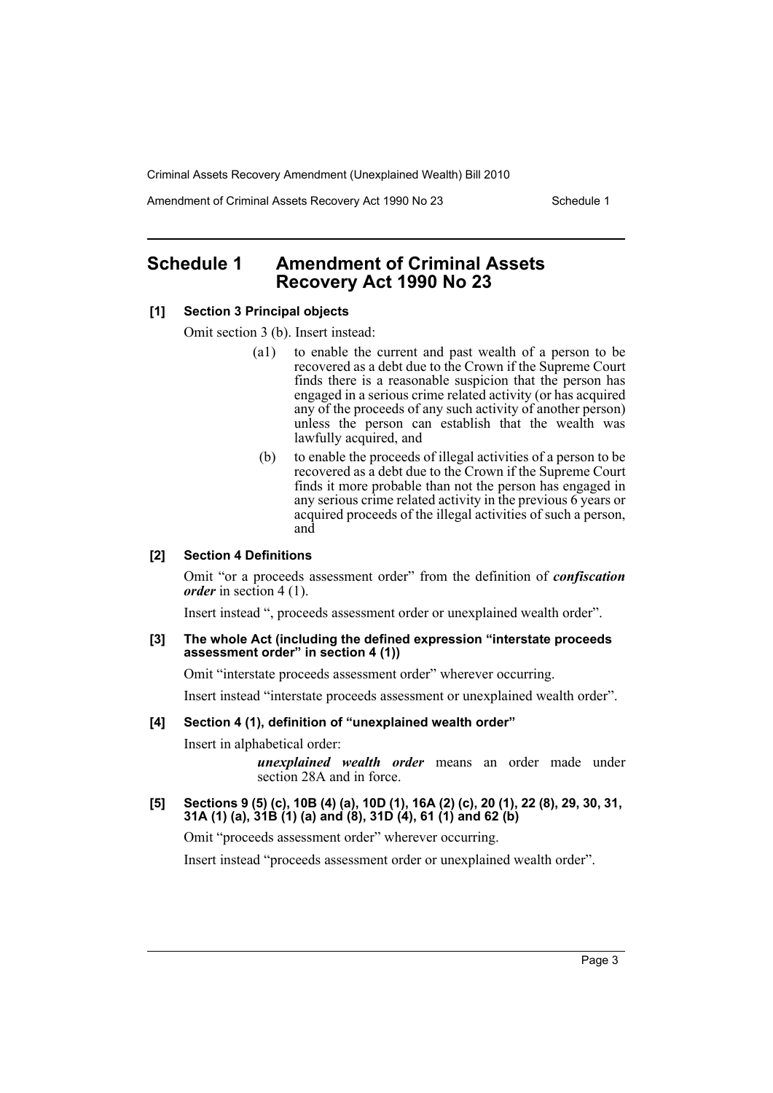Amendment of Criminal Assets Recovery Act 1990 No 23 Schedule 1

# <span id="page-4-0"></span>**Schedule 1 Amendment of Criminal Assets Recovery Act 1990 No 23**

### **[1] Section 3 Principal objects**

Omit section 3 (b). Insert instead:

- (a1) to enable the current and past wealth of a person to be recovered as a debt due to the Crown if the Supreme Court finds there is a reasonable suspicion that the person has engaged in a serious crime related activity (or has acquired any of the proceeds of any such activity of another person) unless the person can establish that the wealth was lawfully acquired, and
- (b) to enable the proceeds of illegal activities of a person to be recovered as a debt due to the Crown if the Supreme Court finds it more probable than not the person has engaged in any serious crime related activity in the previous 6 years or acquired proceeds of the illegal activities of such a person, and

#### **[2] Section 4 Definitions**

Omit "or a proceeds assessment order" from the definition of *confiscation order* in section 4 (1).

Insert instead ", proceeds assessment order or unexplained wealth order".

#### **[3] The whole Act (including the defined expression "interstate proceeds assessment order" in section 4 (1))**

Omit "interstate proceeds assessment order" wherever occurring.

Insert instead "interstate proceeds assessment or unexplained wealth order".

### **[4] Section 4 (1), definition of "unexplained wealth order"**

Insert in alphabetical order:

*unexplained wealth order* means an order made under section 28A and in force.

#### **[5] Sections 9 (5) (c), 10B (4) (a), 10D (1), 16A (2) (c), 20 (1), 22 (8), 29, 30, 31, 31A (1) (a), 31B (1) (a) and (8), 31D (4), 61 (1) and 62 (b)**

Omit "proceeds assessment order" wherever occurring.

Insert instead "proceeds assessment order or unexplained wealth order".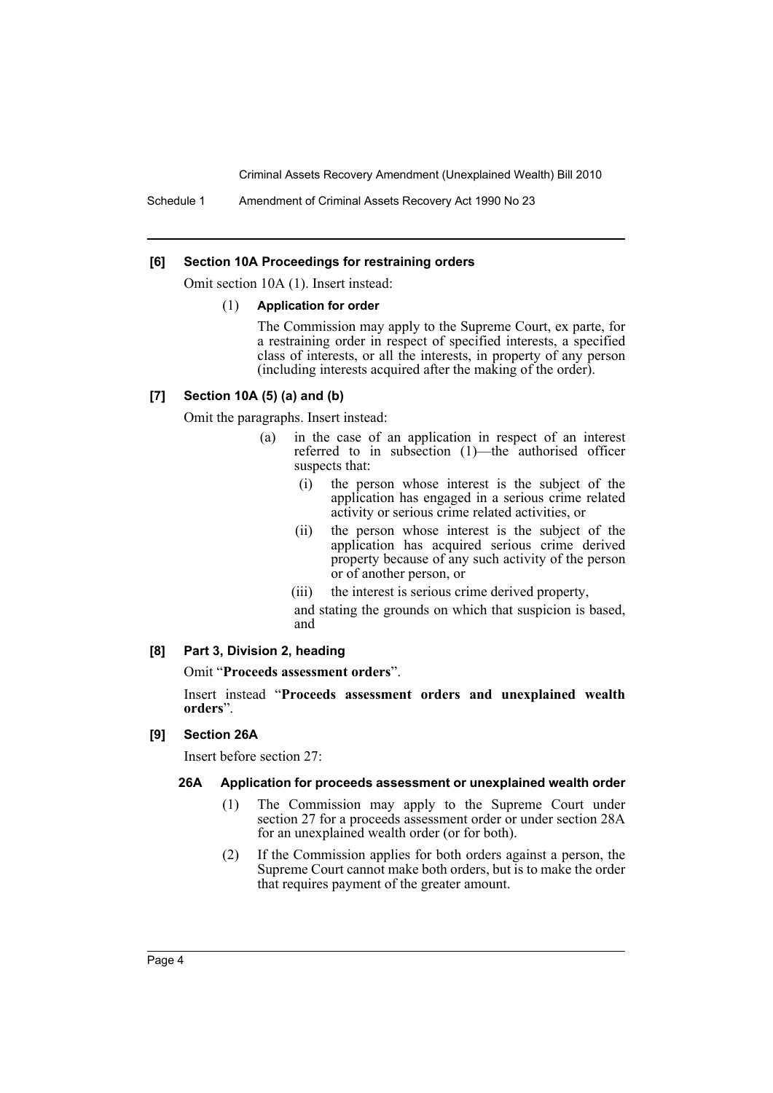#### **[6] Section 10A Proceedings for restraining orders**

Omit section 10A (1). Insert instead:

#### (1) **Application for order**

The Commission may apply to the Supreme Court, ex parte, for a restraining order in respect of specified interests, a specified class of interests, or all the interests, in property of any person (including interests acquired after the making of the order).

## **[7] Section 10A (5) (a) and (b)**

Omit the paragraphs. Insert instead:

- (a) in the case of an application in respect of an interest referred to in subsection (1)—the authorised officer suspects that:
	- (i) the person whose interest is the subject of the application has engaged in a serious crime related activity or serious crime related activities, or
	- (ii) the person whose interest is the subject of the application has acquired serious crime derived property because of any such activity of the person or of another person, or
	- (iii) the interest is serious crime derived property,
	- and stating the grounds on which that suspicion is based, and

#### **[8] Part 3, Division 2, heading**

Omit "**Proceeds assessment orders**".

Insert instead "**Proceeds assessment orders and unexplained wealth orders**".

#### **[9] Section 26A**

Insert before section 27:

#### **26A Application for proceeds assessment or unexplained wealth order**

- (1) The Commission may apply to the Supreme Court under section 27 for a proceeds assessment order or under section 28A for an unexplained wealth order (or for both).
- (2) If the Commission applies for both orders against a person, the Supreme Court cannot make both orders, but is to make the order that requires payment of the greater amount.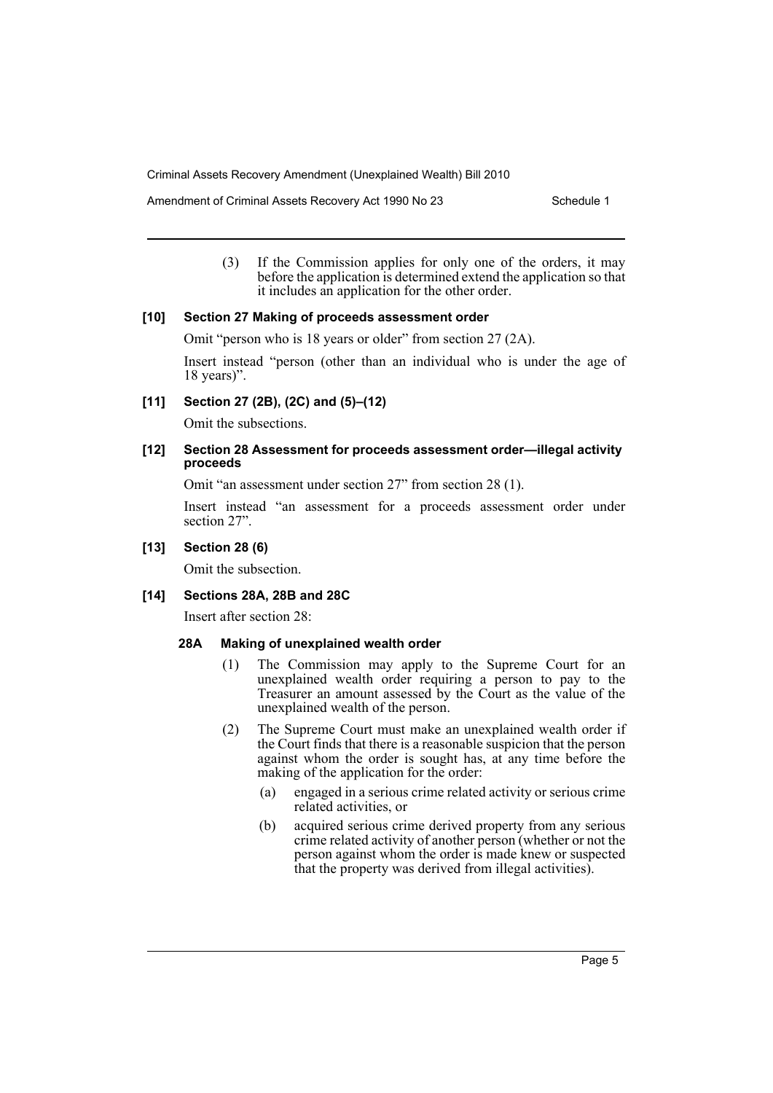Amendment of Criminal Assets Recovery Act 1990 No 23 Schedule 1

(3) If the Commission applies for only one of the orders, it may before the application is determined extend the application so that it includes an application for the other order.

#### **[10] Section 27 Making of proceeds assessment order**

Omit "person who is 18 years or older" from section 27 (2A).

Insert instead "person (other than an individual who is under the age of 18 years)".

**[11] Section 27 (2B), (2C) and (5)–(12)**

Omit the subsections.

#### **[12] Section 28 Assessment for proceeds assessment order—illegal activity proceeds**

Omit "an assessment under section 27" from section 28 (1).

Insert instead "an assessment for a proceeds assessment order under section 27".

## **[13] Section 28 (6)**

Omit the subsection.

#### **[14] Sections 28A, 28B and 28C**

Insert after section 28:

#### **28A Making of unexplained wealth order**

- (1) The Commission may apply to the Supreme Court for an unexplained wealth order requiring a person to pay to the Treasurer an amount assessed by the Court as the value of the unexplained wealth of the person.
- (2) The Supreme Court must make an unexplained wealth order if the Court finds that there is a reasonable suspicion that the person against whom the order is sought has, at any time before the making of the application for the order:
	- (a) engaged in a serious crime related activity or serious crime related activities, or
	- (b) acquired serious crime derived property from any serious crime related activity of another person (whether or not the person against whom the order is made knew or suspected that the property was derived from illegal activities).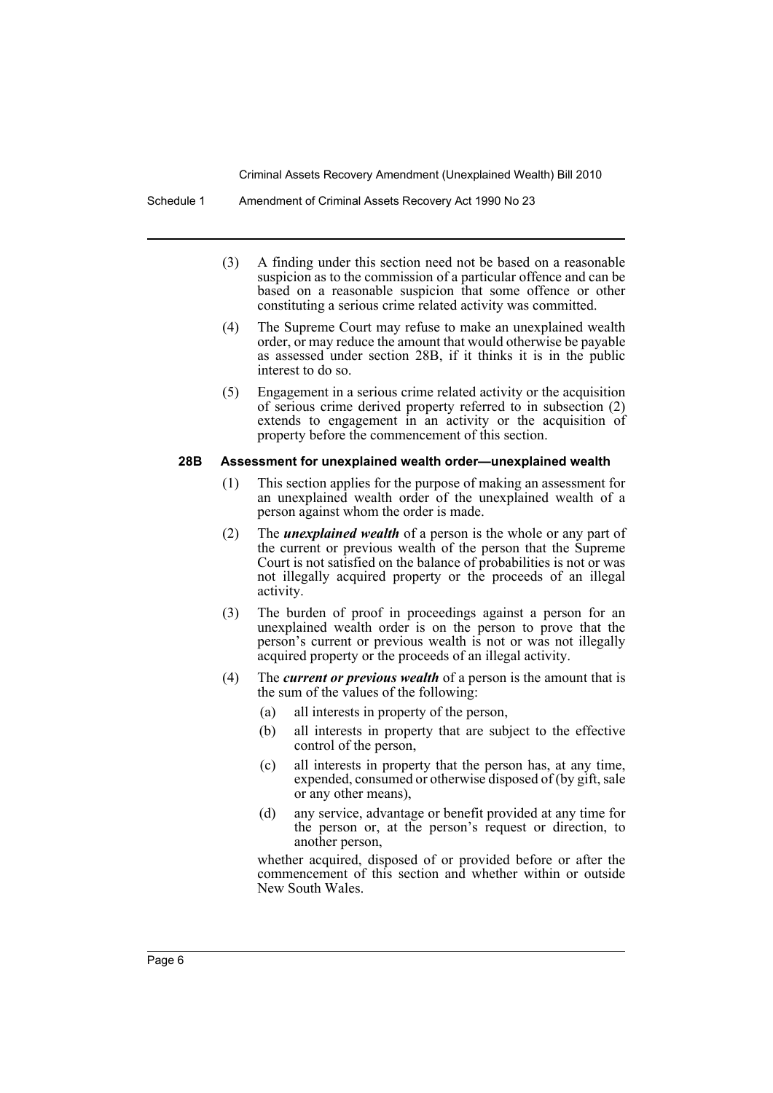- (3) A finding under this section need not be based on a reasonable suspicion as to the commission of a particular offence and can be based on a reasonable suspicion that some offence or other constituting a serious crime related activity was committed.
- (4) The Supreme Court may refuse to make an unexplained wealth order, or may reduce the amount that would otherwise be payable as assessed under section 28B, if it thinks it is in the public interest to do so.
- (5) Engagement in a serious crime related activity or the acquisition of serious crime derived property referred to in subsection (2) extends to engagement in an activity or the acquisition of property before the commencement of this section.

#### **28B Assessment for unexplained wealth order—unexplained wealth**

- (1) This section applies for the purpose of making an assessment for an unexplained wealth order of the unexplained wealth of a person against whom the order is made.
- (2) The *unexplained wealth* of a person is the whole or any part of the current or previous wealth of the person that the Supreme Court is not satisfied on the balance of probabilities is not or was not illegally acquired property or the proceeds of an illegal activity.
- (3) The burden of proof in proceedings against a person for an unexplained wealth order is on the person to prove that the person's current or previous wealth is not or was not illegally acquired property or the proceeds of an illegal activity.
- (4) The *current or previous wealth* of a person is the amount that is the sum of the values of the following:
	- (a) all interests in property of the person,
	- (b) all interests in property that are subject to the effective control of the person,
	- (c) all interests in property that the person has, at any time, expended, consumed or otherwise disposed of (by gift, sale or any other means),
	- (d) any service, advantage or benefit provided at any time for the person or, at the person's request or direction, to another person,

whether acquired, disposed of or provided before or after the commencement of this section and whether within or outside New South Wales.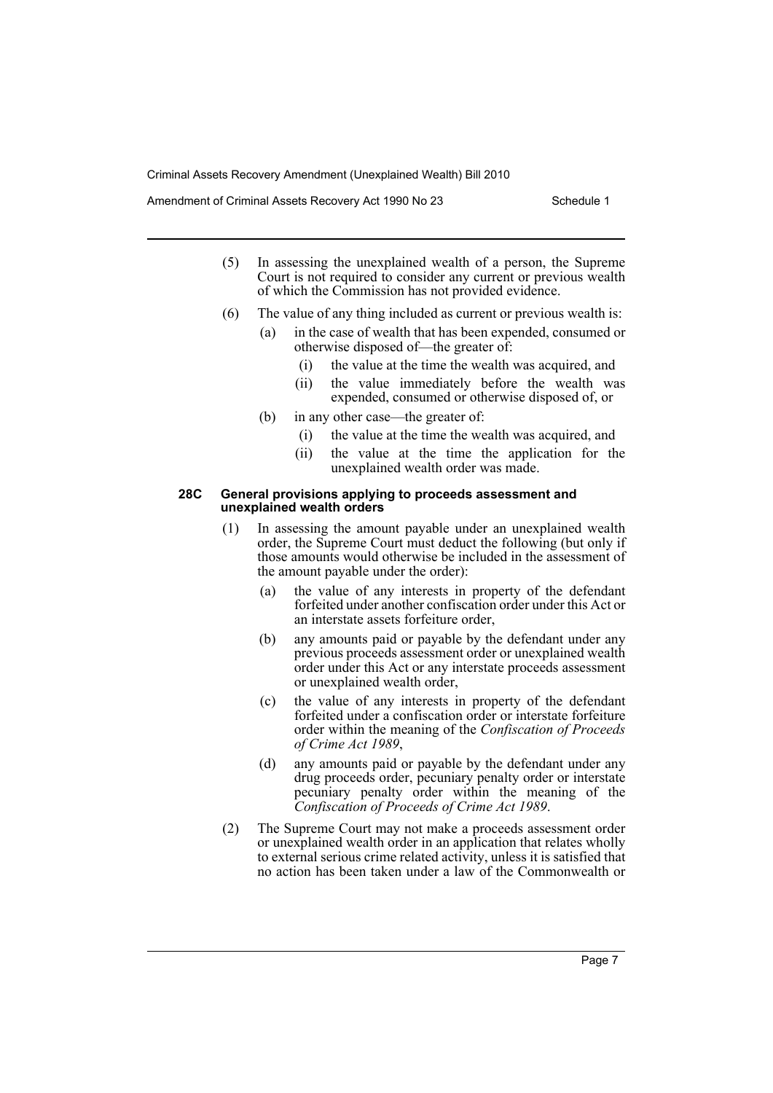Amendment of Criminal Assets Recovery Act 1990 No 23 Schedule 1

- (5) In assessing the unexplained wealth of a person, the Supreme Court is not required to consider any current or previous wealth of which the Commission has not provided evidence.
- (6) The value of any thing included as current or previous wealth is:
	- (a) in the case of wealth that has been expended, consumed or otherwise disposed of—the greater of:
		- (i) the value at the time the wealth was acquired, and
		- (ii) the value immediately before the wealth was expended, consumed or otherwise disposed of, or
	- (b) in any other case—the greater of:
		- (i) the value at the time the wealth was acquired, and
		- (ii) the value at the time the application for the unexplained wealth order was made.

#### **28C General provisions applying to proceeds assessment and unexplained wealth orders**

- (1) In assessing the amount payable under an unexplained wealth order, the Supreme Court must deduct the following (but only if those amounts would otherwise be included in the assessment of the amount payable under the order):
	- (a) the value of any interests in property of the defendant forfeited under another confiscation order under this Act or an interstate assets forfeiture order,
	- (b) any amounts paid or payable by the defendant under any previous proceeds assessment order or unexplained wealth order under this Act or any interstate proceeds assessment or unexplained wealth order,
	- (c) the value of any interests in property of the defendant forfeited under a confiscation order or interstate forfeiture order within the meaning of the *Confiscation of Proceeds of Crime Act 1989*,
	- (d) any amounts paid or payable by the defendant under any drug proceeds order, pecuniary penalty order or interstate pecuniary penalty order within the meaning of the *Confiscation of Proceeds of Crime Act 1989*.
- (2) The Supreme Court may not make a proceeds assessment order or unexplained wealth order in an application that relates wholly to external serious crime related activity, unless it is satisfied that no action has been taken under a law of the Commonwealth or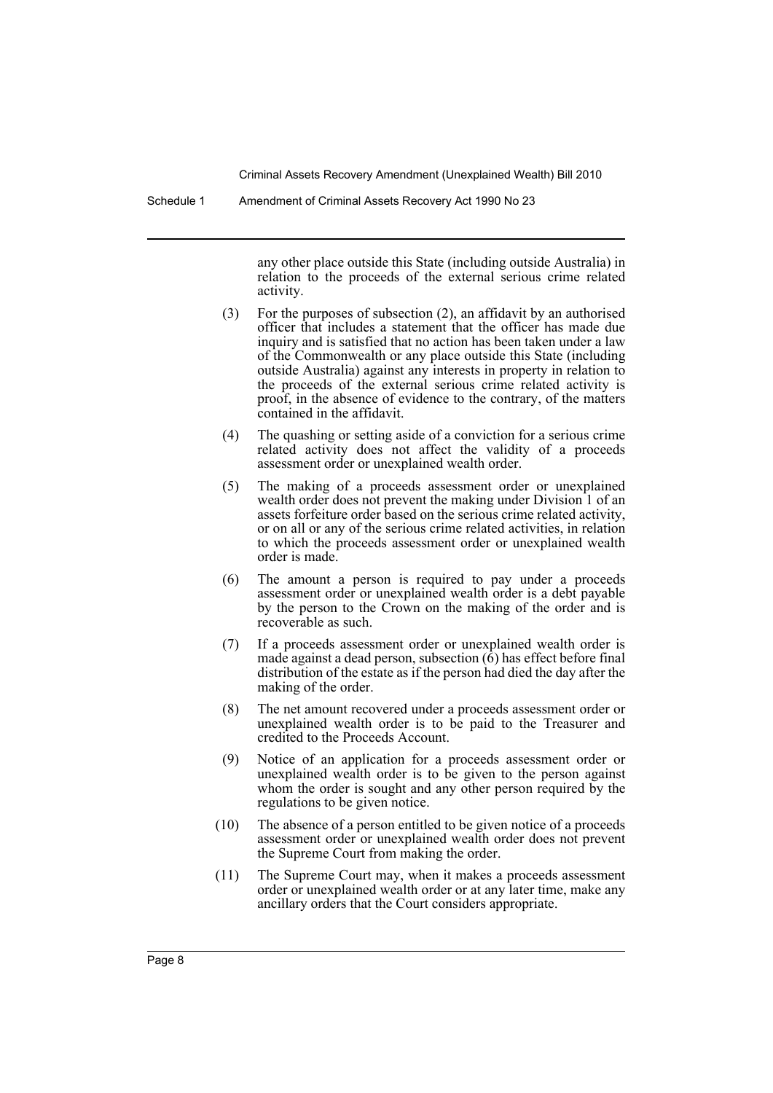Schedule 1 Amendment of Criminal Assets Recovery Act 1990 No 23

any other place outside this State (including outside Australia) in relation to the proceeds of the external serious crime related activity.

- (3) For the purposes of subsection (2), an affidavit by an authorised officer that includes a statement that the officer has made due inquiry and is satisfied that no action has been taken under a law of the Commonwealth or any place outside this State (including outside Australia) against any interests in property in relation to the proceeds of the external serious crime related activity is proof, in the absence of evidence to the contrary, of the matters contained in the affidavit.
- (4) The quashing or setting aside of a conviction for a serious crime related activity does not affect the validity of a proceeds assessment order or unexplained wealth order.
- (5) The making of a proceeds assessment order or unexplained wealth order does not prevent the making under Division 1 of an assets forfeiture order based on the serious crime related activity, or on all or any of the serious crime related activities, in relation to which the proceeds assessment order or unexplained wealth order is made.
- (6) The amount a person is required to pay under a proceeds assessment order or unexplained wealth order is a debt payable by the person to the Crown on the making of the order and is recoverable as such.
- (7) If a proceeds assessment order or unexplained wealth order is made against a dead person, subsection  $(\hat{6})$  has effect before final distribution of the estate as if the person had died the day after the making of the order.
- (8) The net amount recovered under a proceeds assessment order or unexplained wealth order is to be paid to the Treasurer and credited to the Proceeds Account.
- (9) Notice of an application for a proceeds assessment order or unexplained wealth order is to be given to the person against whom the order is sought and any other person required by the regulations to be given notice.
- (10) The absence of a person entitled to be given notice of a proceeds assessment order or unexplained wealth order does not prevent the Supreme Court from making the order.
- (11) The Supreme Court may, when it makes a proceeds assessment order or unexplained wealth order or at any later time, make any ancillary orders that the Court considers appropriate.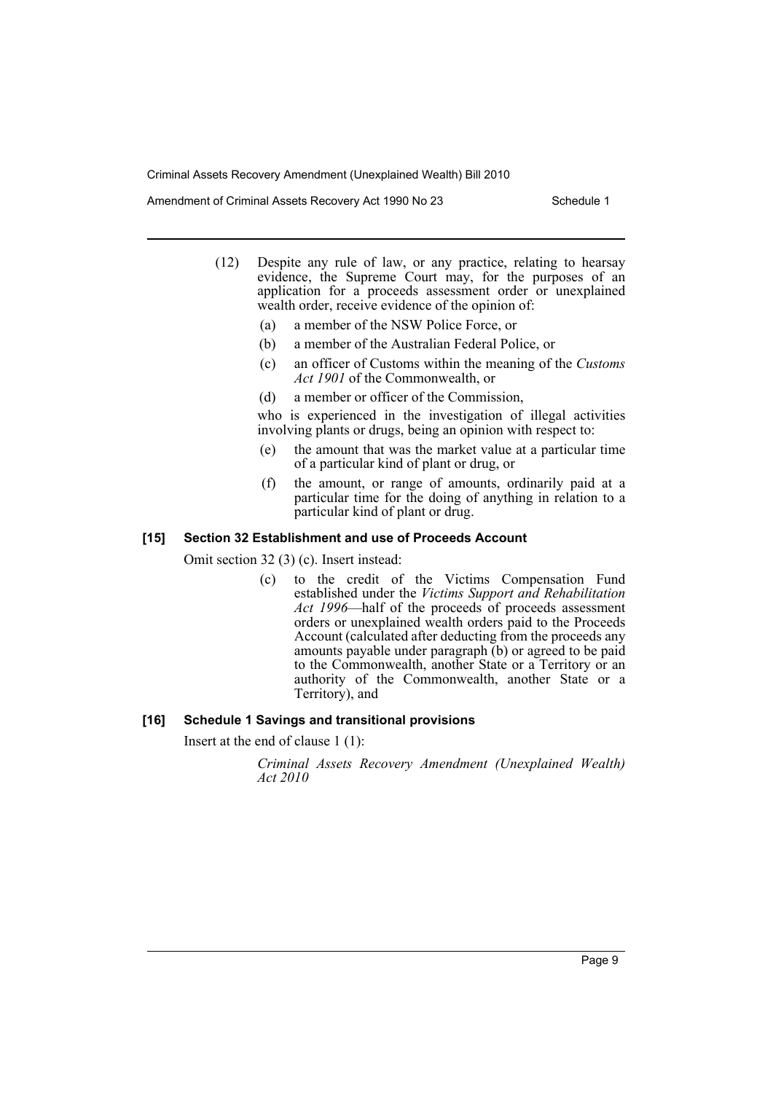Amendment of Criminal Assets Recovery Act 1990 No 23 Schedule 1

- (12) Despite any rule of law, or any practice, relating to hearsay evidence, the Supreme Court may, for the purposes of an application for a proceeds assessment order or unexplained wealth order, receive evidence of the opinion of:
	- (a) a member of the NSW Police Force, or
	- (b) a member of the Australian Federal Police, or
	- (c) an officer of Customs within the meaning of the *Customs Act 1901* of the Commonwealth, or
	- (d) a member or officer of the Commission,

who is experienced in the investigation of illegal activities involving plants or drugs, being an opinion with respect to:

- (e) the amount that was the market value at a particular time of a particular kind of plant or drug, or
- (f) the amount, or range of amounts, ordinarily paid at a particular time for the doing of anything in relation to a particular kind of plant or drug.

#### **[15] Section 32 Establishment and use of Proceeds Account**

Omit section 32 (3) (c). Insert instead:

(c) to the credit of the Victims Compensation Fund established under the *Victims Support and Rehabilitation Act 1996*—half of the proceeds of proceeds assessment orders or unexplained wealth orders paid to the Proceeds Account (calculated after deducting from the proceeds any amounts payable under paragraph (b) or agreed to be paid to the Commonwealth, another State or a Territory or an authority of the Commonwealth, another State or a Territory), and

#### **[16] Schedule 1 Savings and transitional provisions**

Insert at the end of clause 1 (1):

*Criminal Assets Recovery Amendment (Unexplained Wealth) Act 2010*